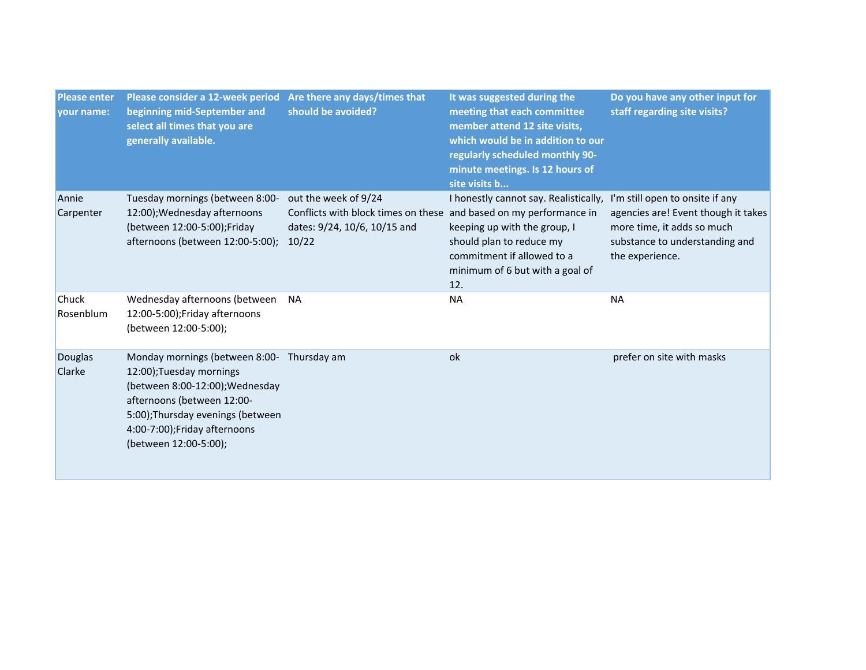| <b>Please enter</b><br>your name: | Please consider a 12-week period<br>beginning mid-September and<br>select all times that you are<br>generally available.                                                                                                            | Are there any days/times that<br>should be avoided?                                                                                 | It was suggested during the<br>meeting that each committee<br>member attend 12 site visits,<br>which would be in addition to our<br>regularly scheduled monthly 90-<br>minute meetings. Is 12 hours of<br>site visits b | Do you have any other input for<br>staff regarding site visits?                                                                                           |
|-----------------------------------|-------------------------------------------------------------------------------------------------------------------------------------------------------------------------------------------------------------------------------------|-------------------------------------------------------------------------------------------------------------------------------------|-------------------------------------------------------------------------------------------------------------------------------------------------------------------------------------------------------------------------|-----------------------------------------------------------------------------------------------------------------------------------------------------------|
| Annie<br>Carpenter                | Tuesday mornings (between 8:00-<br>12:00); Wednesday afternoons<br>(between 12:00-5:00);Friday<br>afternoons (between 12:00-5:00);                                                                                                  | out the week of 9/24<br>Conflicts with block times on these and based on my performance in<br>dates: 9/24, 10/6, 10/15 and<br>10/22 | I honestly cannot say. Realistically,<br>keeping up with the group, I<br>should plan to reduce my<br>commitment if allowed to a<br>minimum of 6 but with a goal of<br>12.                                               | I'm still open to onsite if any<br>agencies are! Event though it takes<br>more time, it adds so much<br>substance to understanding and<br>the experience. |
| <b>Chuck</b><br>Rosenblum         | Wednesday afternoons (between<br>12:00-5:00);Friday afternoons<br>(between 12:00-5:00);                                                                                                                                             | <b>NA</b>                                                                                                                           | <b>NA</b>                                                                                                                                                                                                               | <b>NA</b>                                                                                                                                                 |
| Douglas<br>Clarke                 | Monday mornings (between 8:00- Thursday am<br>12:00);Tuesday mornings<br>(between 8:00-12:00); Wednesday<br>afternoons (between 12:00-<br>5:00);Thursday evenings (between<br>4:00-7:00);Friday afternoons<br>(between 12:00-5:00); |                                                                                                                                     | ok                                                                                                                                                                                                                      | prefer on site with masks                                                                                                                                 |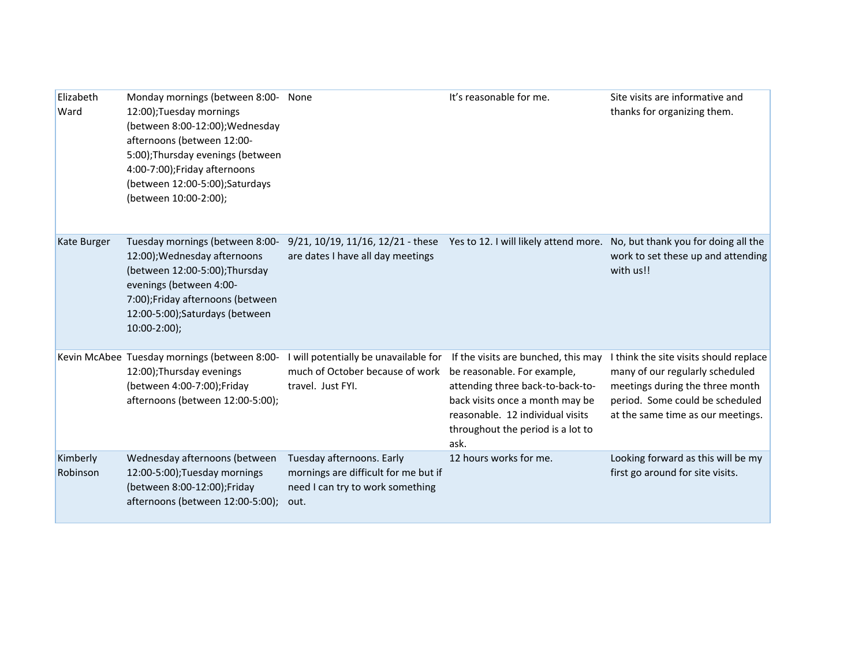| Elizabeth<br>Ward    | Monday mornings (between 8:00- None<br>12:00);Tuesday mornings<br>(between 8:00-12:00); Wednesday<br>afternoons (between 12:00-<br>5:00); Thursday evenings (between<br>4:00-7:00);Friday afternoons<br>(between 12:00-5:00);Saturdays<br>(between 10:00-2:00); |                                                                                                               | It's reasonable for me.                                                                                                                                                                                                    | Site visits are informative and<br>thanks for organizing them.                                                                                                                       |
|----------------------|-----------------------------------------------------------------------------------------------------------------------------------------------------------------------------------------------------------------------------------------------------------------|---------------------------------------------------------------------------------------------------------------|----------------------------------------------------------------------------------------------------------------------------------------------------------------------------------------------------------------------------|--------------------------------------------------------------------------------------------------------------------------------------------------------------------------------------|
| Kate Burger          | Tuesday mornings (between 8:00-<br>12:00); Wednesday afternoons<br>(between 12:00-5:00);Thursday<br>evenings (between 4:00-<br>7:00);Friday afternoons (between<br>12:00-5:00);Saturdays (between<br>$10:00-2:00$ ;                                             | 9/21, 10/19, 11/16, 12/21 - these Yes to 12. I will likely attend more.<br>are dates I have all day meetings  |                                                                                                                                                                                                                            | No, but thank you for doing all the<br>work to set these up and attending<br>with us!!                                                                                               |
|                      | Kevin McAbee Tuesday mornings (between 8:00-<br>12:00); Thursday evenings<br>(between 4:00-7:00);Friday<br>afternoons (between 12:00-5:00);                                                                                                                     | I will potentially be unavailable for<br>much of October because of work<br>travel. Just FYI.                 | If the visits are bunched, this may<br>be reasonable. For example,<br>attending three back-to-back-to-<br>back visits once a month may be<br>reasonable. 12 individual visits<br>throughout the period is a lot to<br>ask. | I think the site visits should replace<br>many of our regularly scheduled<br>meetings during the three month<br>period. Some could be scheduled<br>at the same time as our meetings. |
| Kimberly<br>Robinson | Wednesday afternoons (between<br>12:00-5:00);Tuesday mornings<br>(between 8:00-12:00);Friday<br>afternoons (between 12:00-5:00);                                                                                                                                | Tuesday afternoons. Early<br>mornings are difficult for me but if<br>need I can try to work something<br>out. | 12 hours works for me.                                                                                                                                                                                                     | Looking forward as this will be my<br>first go around for site visits.                                                                                                               |